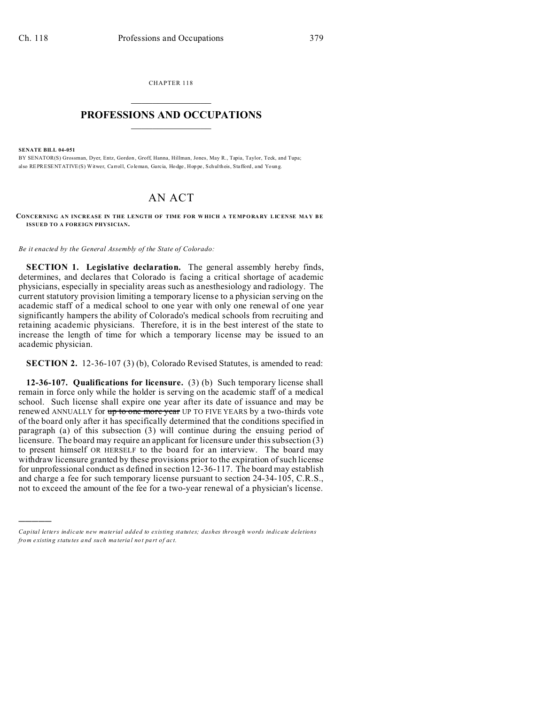CHAPTER 118  $\overline{\phantom{a}}$  , where  $\overline{\phantom{a}}$ 

## **PROFESSIONS AND OCCUPATIONS**  $\frac{1}{2}$  ,  $\frac{1}{2}$  ,  $\frac{1}{2}$  ,  $\frac{1}{2}$  ,  $\frac{1}{2}$  ,  $\frac{1}{2}$

**SENATE BILL 04-051**

)))))

BY SENATOR(S) Grossman, Dyer, Entz, Gordon , Groff, Hanna, Hillman, Jones, May R., Tapia, Taylor, Teck, and Tupa; also REPRESENTATIVE(S) Witwer, Carroll, Coleman, Garcia, Hodge, Hoppe, Schultheis, Stafford, and Young.

## AN ACT

**CONCERNING AN INCREASE IN THE LENGTH OF TIME FOR WHICH A TEMPORARY LICENSE MAY BE ISSUED TO A FOREIGN PHYSICIAN.**

*Be it enacted by the General Assembly of the State of Colorado:*

**SECTION 1. Legislative declaration.** The general assembly hereby finds, determines, and declares that Colorado is facing a critical shortage of academic physicians, especially in speciality areas such as anesthesiology and radiology. The current statutory provision limiting a temporary license to a physician serving on the academic staff of a medical school to one year with only one renewal of one year significantly hampers the ability of Colorado's medical schools from recruiting and retaining academic physicians. Therefore, it is in the best interest of the state to increase the length of time for which a temporary license may be issued to an academic physician.

**SECTION 2.** 12-36-107 (3) (b), Colorado Revised Statutes, is amended to read:

**12-36-107. Qualifications for licensure.** (3) (b) Such temporary license shall remain in force only while the holder is serving on the academic staff of a medical school. Such license shall expire one year after its date of issuance and may be renewed ANNUALLY for up to one more year UP TO FIVE YEARS by a two-thirds vote of the board only after it has specifically determined that the conditions specified in paragraph (a) of this subsection (3) will continue during the ensuing period of licensure. The board may require an applicant for licensure under this subsection (3) to present himself OR HERSELF to the board for an interview. The board may withdraw licensure granted by these provisions prior to the expiration of such license for unprofessional conduct as defined in section 12-36-117. The board may establish and charge a fee for such temporary license pursuant to section 24-34-105, C.R.S., not to exceed the amount of the fee for a two-year renewal of a physician's license.

*Capital letters indicate new material added to existing statutes; dashes through words indicate deletions from e xistin g statu tes a nd such ma teria l no t pa rt of ac t.*